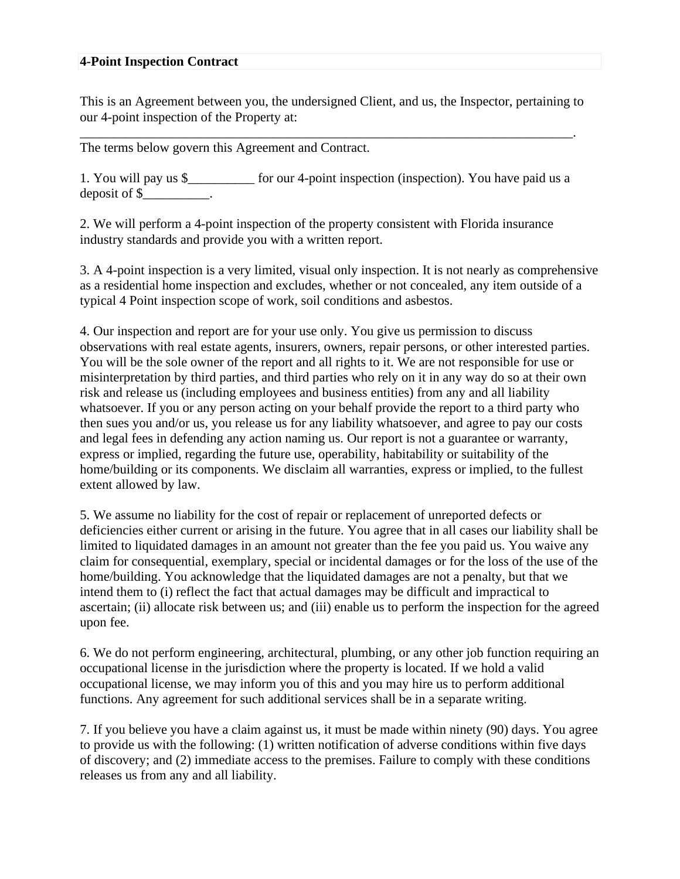## **4-Point Inspection Contract**

This is an Agreement between you, the undersigned Client, and us, the Inspector, pertaining to our 4-point inspection of the Property at:

\_\_\_\_\_\_\_\_\_\_\_\_\_\_\_\_\_\_\_\_\_\_\_\_\_\_\_\_\_\_\_\_\_\_\_\_\_\_\_\_\_\_\_\_\_\_\_\_\_\_\_\_\_\_\_\_\_\_\_\_\_\_\_\_\_\_\_\_\_\_\_\_\_\_.

The terms below govern this Agreement and Contract.

1. You will pay us \$ for our 4-point inspection (inspection). You have paid us a deposit of \$.

2. We will perform a 4-point inspection of the property consistent with Florida insurance industry standards and provide you with a written report.

3. A 4-point inspection is a very limited, visual only inspection. It is not nearly as comprehensive as a residential home inspection and excludes, whether or not concealed, any item outside of a typical 4 Point inspection scope of work, soil conditions and asbestos.

4. Our inspection and report are for your use only. You give us permission to discuss observations with real estate agents, insurers, owners, repair persons, or other interested parties. You will be the sole owner of the report and all rights to it. We are not responsible for use or misinterpretation by third parties, and third parties who rely on it in any way do so at their own risk and release us (including employees and business entities) from any and all liability whatsoever. If you or any person acting on your behalf provide the report to a third party who then sues you and/or us, you release us for any liability whatsoever, and agree to pay our costs and legal fees in defending any action naming us. Our report is not a guarantee or warranty, express or implied, regarding the future use, operability, habitability or suitability of the home/building or its components. We disclaim all warranties, express or implied, to the fullest extent allowed by law.

5. We assume no liability for the cost of repair or replacement of unreported defects or deficiencies either current or arising in the future. You agree that in all cases our liability shall be limited to liquidated damages in an amount not greater than the fee you paid us. You waive any claim for consequential, exemplary, special or incidental damages or for the loss of the use of the home/building. You acknowledge that the liquidated damages are not a penalty, but that we intend them to (i) reflect the fact that actual damages may be difficult and impractical to ascertain; (ii) allocate risk between us; and (iii) enable us to perform the inspection for the agreed upon fee.

6. We do not perform engineering, architectural, plumbing, or any other job function requiring an occupational license in the jurisdiction where the property is located. If we hold a valid occupational license, we may inform you of this and you may hire us to perform additional functions. Any agreement for such additional services shall be in a separate writing.

7. If you believe you have a claim against us, it must be made within ninety (90) days. You agree to provide us with the following: (1) written notification of adverse conditions within five days of discovery; and (2) immediate access to the premises. Failure to comply with these conditions releases us from any and all liability.